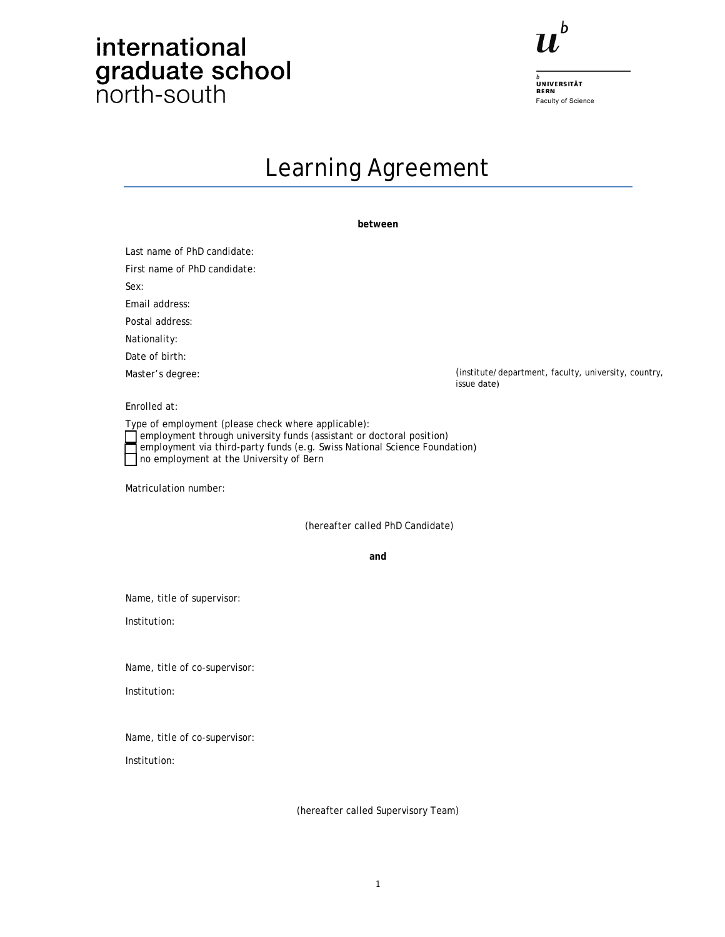## international graduate school



.<br>UNIVERSITÄT<br>BERN Faculty of Science

### Learning Agreement

**between** 

(institute/department, faculty, university, country, issue date) Last name of PhD candidate: First name of PhD candidate: Sex: Email address: Postal address: Nationality: Date of birth: Master's degree: Enrolled at: Type of employment (please check where applicable):  $\Box$  employment through university funds (assistant or doctoral position) employment via third-party funds (e.g. Swiss National Science Foundation) no employment at the University of Bern Matriculation number: (hereafter called PhD Candidate) **and**  Name, title of supervisor: Institution: Name, title of co-supervisor: Institution: Name, title of co-supervisor: Institution:

(hereafter called Supervisory Team)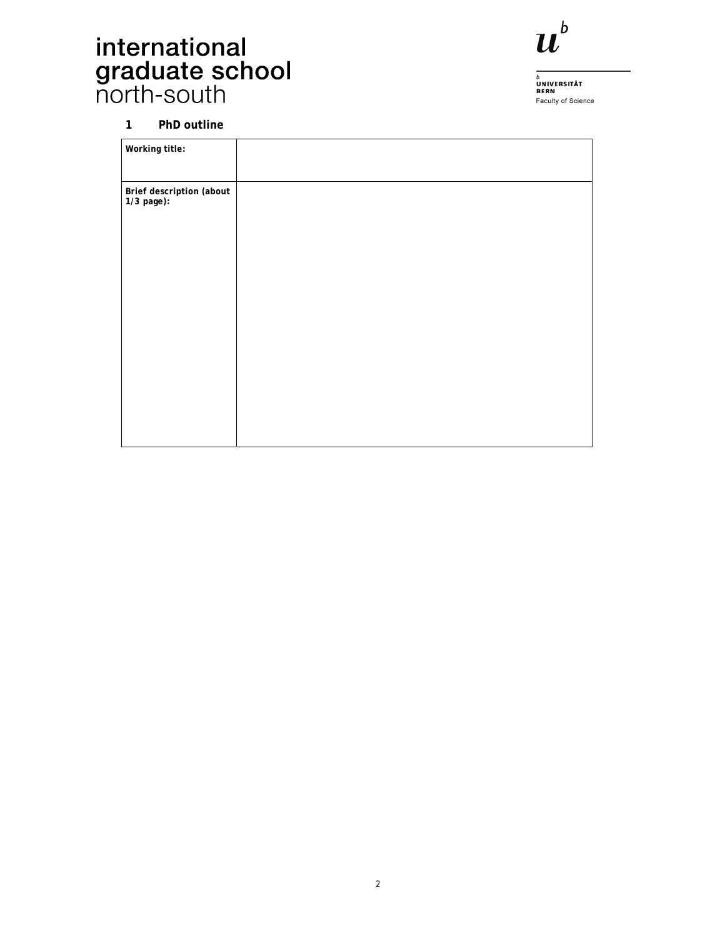# international<br>graduate school<br>north-south



b<br>UNIVERSITÄT<br>BERN<br>Faculty of Science

#### **1 PhD outline**

| Working title:                         |  |  |
|----------------------------------------|--|--|
|                                        |  |  |
| Brief description (about<br>1/3 page): |  |  |
|                                        |  |  |
|                                        |  |  |
|                                        |  |  |
|                                        |  |  |
|                                        |  |  |
|                                        |  |  |
|                                        |  |  |
|                                        |  |  |
|                                        |  |  |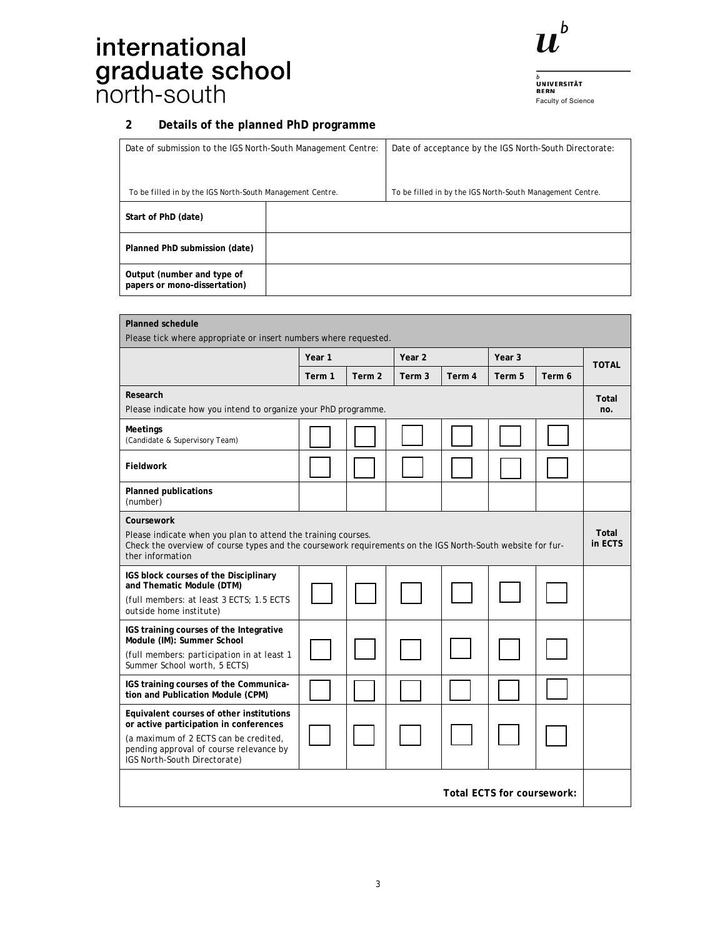# international<br>graduate school<br>north-south



b<br>UNIVERSITÄT<br>BERN<br>Faculty of Science

### **2 Details of the planned PhD programme**

| Date of submission to the IGS North-South Management Centre: |  | Date of acceptance by the IGS North-South Directorate:    |
|--------------------------------------------------------------|--|-----------------------------------------------------------|
| To be filled in by the IGS North-South Management Centre.    |  | To be filled in by the IGS North-South Management Centre. |
| Start of PhD (date)                                          |  |                                                           |
| Planned PhD submission (date)                                |  |                                                           |
| Output (number and type of<br>papers or mono-dissertation)   |  |                                                           |

| <b>Planned schedule</b><br>Please tick where appropriate or insert numbers where requested.                                                                                                                   |        |        |                   |                  |        |                   |              |
|---------------------------------------------------------------------------------------------------------------------------------------------------------------------------------------------------------------|--------|--------|-------------------|------------------|--------|-------------------|--------------|
|                                                                                                                                                                                                               | Year 1 |        | Year 2            |                  |        | Year <sub>3</sub> |              |
|                                                                                                                                                                                                               | Term 1 | Term 2 | Term <sub>3</sub> | Term 4           | Term 5 | Term 6            | <b>TOTAL</b> |
| Research<br>Please indicate how you intend to organize your PhD programme.                                                                                                                                    |        |        |                   | Total<br>no.     |        |                   |              |
| Meetings<br>(Candidate & Supervisory Team)                                                                                                                                                                    |        |        |                   |                  |        |                   |              |
| Fieldwork                                                                                                                                                                                                     |        |        |                   |                  |        |                   |              |
| <b>Planned publications</b><br>(number)                                                                                                                                                                       |        |        |                   |                  |        |                   |              |
| Coursework<br>Please indicate when you plan to attend the training courses.<br>Check the overview of course types and the coursework requirements on the IGS North-South website for fur-<br>ther information |        |        |                   | Total<br>in ECTS |        |                   |              |
| IGS block courses of the Disciplinary<br>and Thematic Module (DTM)<br>(full members: at least 3 ECTS; 1.5 ECTS<br>outside home institute)                                                                     |        |        |                   |                  |        |                   |              |
| IGS training courses of the Integrative<br>Module (IM): Summer School<br>(full members: participation in at least 1<br>Summer School worth, 5 ECTS)                                                           |        |        |                   |                  |        |                   |              |
| IGS training courses of the Communica-<br>tion and Publication Module (CPM)                                                                                                                                   |        |        |                   |                  |        |                   |              |
| Equivalent courses of other institutions<br>or active participation in conferences<br>(a maximum of 2 ECTS can be credited,<br>pending approval of course relevance by<br>IGS North-South Directorate)        |        |        |                   |                  |        |                   |              |
| Total ECTS for coursework:                                                                                                                                                                                    |        |        |                   |                  |        |                   |              |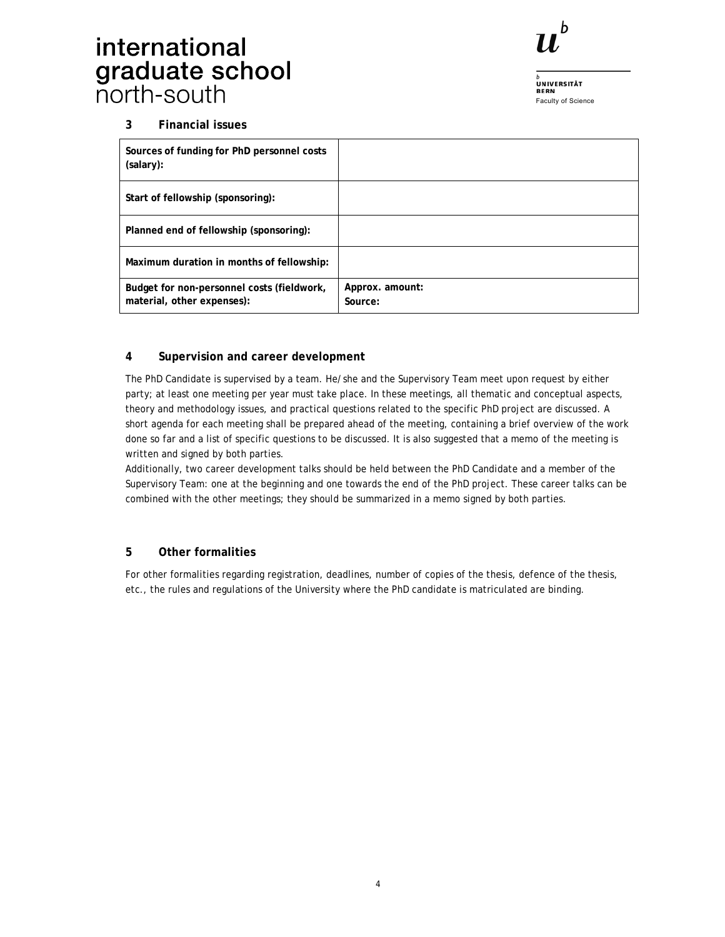## international graduate school<br>north-south



.<br>UNIVERSITÄT<br>BERN Faculty of Science

### **3 Financial issues**

| Sources of funding for PhD personnel costs<br>(salary):                  |                            |
|--------------------------------------------------------------------------|----------------------------|
| Start of fellowship (sponsoring):                                        |                            |
| Planned end of fellowship (sponsoring):                                  |                            |
| Maximum duration in months of fellowship:                                |                            |
| Budget for non-personnel costs (fieldwork,<br>material, other expenses): | Approx. amount:<br>Source: |

### **4 Supervision and career development**

The PhD Candidate is supervised by a team. He/she and the Supervisory Team meet upon request by either party; at least one meeting per year must take place. In these meetings, all thematic and conceptual aspects, theory and methodology issues, and practical questions related to the specific PhD project are discussed. A short agenda for each meeting shall be prepared ahead of the meeting, containing a brief overview of the work done so far and a list of specific questions to be discussed. It is also suggested that a memo of the meeting is written and signed by both parties.

Additionally, two career development talks should be held between the PhD Candidate and a member of the Supervisory Team: one at the beginning and one towards the end of the PhD project. These career talks can be combined with the other meetings; they should be summarized in a memo signed by both parties.

### **5 Other formalities**

For other formalities regarding registration, deadlines, number of copies of the thesis, defence of the thesis, etc., the rules and regulations of the University where the PhD candidate is matriculated are binding.